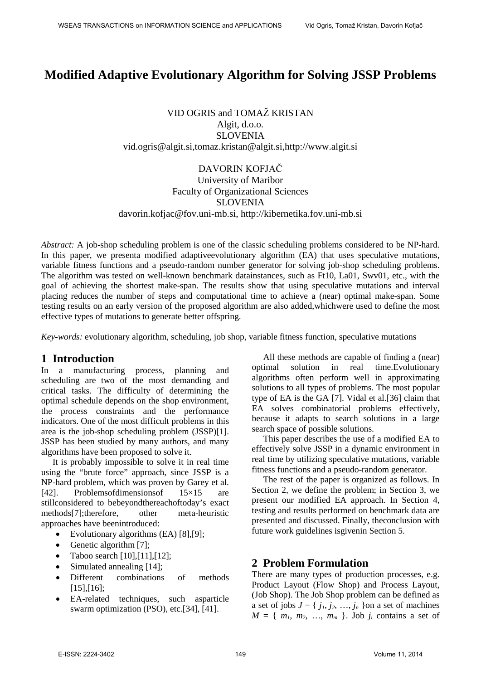# **Modified Adaptive Evolutionary Algorithm for Solving JSSP Problems**

VID OGRIS and TOMAŽ KRISTAN Algit, d.o.o. SLOVENIA vid.ogris@algit.si,tomaz.kristan@algit.si,http://www.algit.si

> DAVORIN KOFJAČ University of Maribor

Faculty of Organizational Sciences SLOVENIA davorin.kofjac@fov.uni-mb.si, http://kibernetika.fov.uni-mb.si

*Abstract:* A job-shop scheduling problem is one of the classic scheduling problems considered to be NP-hard. In this paper, we presenta modified adaptiveevolutionary algorithm (EA) that uses speculative mutations, variable fitness functions and a pseudo-random number generator for solving job-shop scheduling problems. The algorithm was tested on well-known benchmark datainstances, such as Ft10, La01, Swv01, etc., with the goal of achieving the shortest make-span. The results show that using speculative mutations and interval placing reduces the number of steps and computational time to achieve a (near) optimal make-span. Some testing results on an early version of the proposed algorithm are also added,whichwere used to define the most effective types of mutations to generate better offspring.

*Key-words:* evolutionary algorithm, scheduling, job shop, variable fitness function, speculative mutations

### **1 Introduction**

In a manufacturing process, planning and scheduling are two of the most demanding and critical tasks. The difficulty of determining the optimal schedule depends on the shop environment, the process constraints and the performance indicators. One of the most difficult problems in this area is the job-shop scheduling problem (JSSP[\)\[1\].](#page-8-0) JSSP has been studied by many authors, and many algorithms have been proposed to solve it.

It is probably impossible to solve it in real time using the "brute force" approach, since JSSP is a NP-hard problem, which was proven by Garey et al. [\[42\].](#page-10-0) Problems of dimensions of  $15\times15$  are stillconsidered to bebeyondthereachoftoday's exact method[s\[7\];](#page-9-0)therefore, other meta-heuristic approaches have beenintroduced:

- Evolutionary algorithms (EA) [\[8\],](#page-9-1)[\[9\];](#page-9-2)
- Genetic algorithm [\[7\];](#page-9-0)
- Taboo searc[h \[10\]](#page-9-3)[,\[11\]](#page-9-4)[,\[12\];](#page-9-5)
- Simulated annealing [\[14\];](#page-9-6)
- Different combinations of methods [\[15\],](#page-9-7)[\[16\];](#page-9-8)
- EA-related techniques, such asparticle swarm optimization (PSO), etc[.\[34\],](#page-10-1) [\[41\].](#page-10-2)

All these methods are capable of finding a (near) optimal solution in real time.Evolutionary algorithms often perform well in approximating solutions to all types of problems. The most popular type of EA is the GA [\[7\].](#page-9-0) Vidal et al[.\[36\]](#page-10-3) claim that EA solves combinatorial problems effectively, because it adapts to search solutions in a large search space of possible solutions.

This paper describes the use of a modified EA to effectively solve JSSP in a dynamic environment in real time by utilizing speculative mutations, variable fitness functions and a pseudo-random generator.

The rest of the paper is organized as follows. In Section 2, we define the problem; in Section 3, we present our modified EA approach. In Section 4, testing and results performed on benchmark data are presented and discussed. Finally, theconclusion with future work guidelines isgivenin Section 5.

## **2 Problem Formulation**

There are many types of production processes, e.g. Product Layout (Flow Shop) and Process Layout, (Job Shop). The Job Shop problem can be defined as a set of jobs  $J = \{j_1, j_2, ..., j_n\}$ on a set of machines  $M = \{m_1, m_2, \ldots, m_m\}$ . Job *j<sub>i</sub>* contains a set of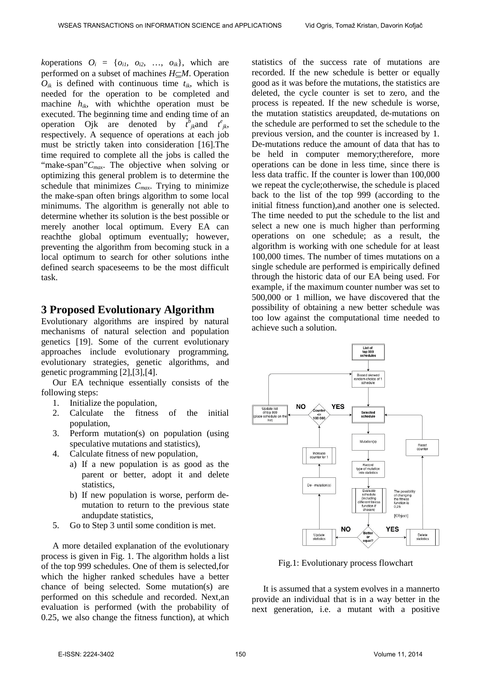*k*operations  $O_i = \{o_{i1}, o_{i2}, \ldots, o_{ik}\}$ , which are performed on a subset of machines *H*⊆*M*. Operation  $O_{ik}$  is defined with continuous time  $t_{ik}$ , which is needed for the operation to be completed and machine *hik*, with whichthe operation must be executed. The beginning time and ending time of an operation Ojk are denoted by  $\vec{t}^b_{jk}$ and  $t^e_{jk}$ , respectively. A sequence of operations at each job must be strictly taken into consideration [\[16\].](#page-9-9)The time required to complete all the jobs is called the "make-span"<sup>*C<sub>max</sub>*. The objective when solving or</sup> optimizing this general problem is to determine the schedule that minimizes *Cmax*. Trying to minimize the make-span often brings algorithm to some local minimums. The algorithm is generally not able to determine whether its solution is the best possible or merely another local optimum. Every EA can reachthe global optimum eventually; however, preventing the algorithm from becoming stuck in a local optimum to search for other solutions inthe defined search spaceseems to be the most difficult task.

### **3 Proposed Evolutionary Algorithm**

Evolutionary algorithms are inspired by natural mechanisms of natural selection and population genetics [\[19\].](#page-9-10) Some of the current evolutionary approaches include evolutionary programming, evolutionary strategies, genetic algorithms, and genetic programming [\[2\],](#page-8-1)[\[3\]](#page-8-2)[,\[4\].](#page-8-3)

Our EA technique essentially consists of the following steps:

- 1. Initialize the population,
- 2. Calculate the fitness of the initial population,
- 3. Perform mutation(s) on population (using speculative mutations and statistics),
- 4. Calculate fitness of new population,
	- a) If a new population is as good as the parent or better, adopt it and delete statistics,
	- b) If new population is worse, perform demutation to return to the previous state andupdate statistics,
- 5. Go to Step 3 until some condition is met.

A more detailed explanation of the evolutionary process is given in Fig. 1. The algorithm holds a list of the top 999 schedules. One of them is selected,for which the higher ranked schedules have a better chance of being selected. Some mutation(s) are performed on this schedule and recorded. Next,an evaluation is performed (with the probability of 0.25, we also change the fitness function), at which statistics of the success rate of mutations are recorded. If the new schedule is better or equally good as it was before the mutations, the statistics are deleted, the cycle counter is set to zero, and the process is repeated. If the new schedule is worse, the mutation statistics areupdated, de-mutations on the schedule are performed to set the schedule to the previous version, and the counter is increased by 1. De-mutations reduce the amount of data that has to be held in computer memory;therefore, more operations can be done in less time, since there is less data traffic. If the counter is lower than 100,000 we repeat the cycle;otherwise, the schedule is placed back to the list of the top 999 (according to the initial fitness function),and another one is selected. The time needed to put the schedule to the list and select a new one is much higher than performing operations on one schedule; as a result, the algorithm is working with one schedule for at least 100,000 times. The number of times mutations on a single schedule are performed is empirically defined through the historic data of our EA being used. For example, if the maximum counter number was set to 500,000 or 1 million, we have discovered that the possibility of obtaining a new better schedule was too low against the computational time needed to achieve such a solution.



Fig.1: Evolutionary process flowchart

It is assumed that a system evolves in a mannerto provide an individual that is in a way better in the next generation, i.e. a mutant with a positive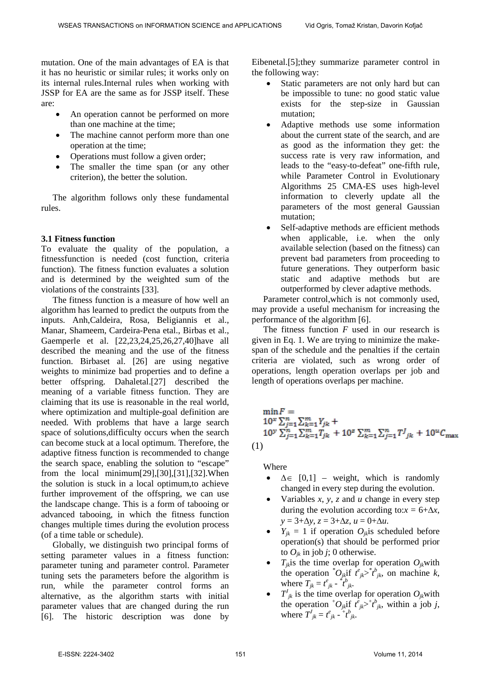mutation. One of the main advantages of EA is that it has no heuristic or similar rules; it works only on its internal rules.Internal rules when working with JSSP for EA are the same as for JSSP itself. These are:

- An operation cannot be performed on more than one machine at the time;
- The machine cannot perform more than one operation at the time;
- Operations must follow a given order;
- The smaller the time span (or any other criterion), the better the solution.

The algorithm follows only these fundamental rules.

#### **3.1 Fitness function**

To evaluate the quality of the population, a fitnessfunction is needed (cost function, criteria function). The fitness function evaluates a solution and is determined by the weighted sum of the violations of the constraint[s \[33\].](#page-10-4)

The fitness function is a measure of how well an algorithm has learned to predict the outputs from the inputs. Anh,Caldeira, Rosa, Beligiannis et al., Manar, Shameem, Cardeira-Pena etal., Birbas et al., Gaemperle et al. [22,23,24,25,26,27,40]have all described the meaning and the use of the fitness function. Birbaset al. [\[26\]](#page-9-11) are using negative weights to minimize bad properties and to define a better offspring. Dahaletal[.\[27\]](#page-9-12) described the meaning of a variable fitness function. They are claiming that its use is reasonable in the real world, where optimization and multiple-goal definition are needed. With problems that have a large search space of solutions,difficulty occurs when the search can become stuck at a local optimum. Therefore, the adaptive fitness function is recommended to change the search space, enabling the solution to "escape" from the local minimu[m\[29\]](#page-10-5)[,\[30\],](#page-10-6)[\[31\],](#page-10-7)[\[32\].](#page-10-8)When the solution is stuck in a local optimum,to achieve further improvement of the offspring, we can use the landscape change. This is a form of tabooing or advanced tabooing, in which the fitness function changes multiple times during the evolution process (of a time table or schedule).

Globally, we distinguish two principal forms of setting parameter values in a fitness function: parameter tuning and parameter control. Parameter tuning sets the parameters before the algorithm is run, while the parameter control forms an alternative, as the algorithm starts with initial parameter values that are changed during the run [\[6\].](#page-8-4) The historic description was done by

Eibenetal[.\[5\];](#page-8-5)they summarize parameter control in the following way:

- Static parameters are not only hard but can be impossible to tune: no good static value exists for the step-size in Gaussian mutation;
- Adaptive methods use some information about the current state of the search, and are as good as the information they get: the success rate is very raw information, and leads to the "easy-to-defeat" one-fifth rule, while Parameter Control in Evolutionary Algorithms 25 CMA-ES uses high-level information to cleverly update all the parameters of the most general Gaussian mutation;
- Self-adaptive methods are efficient methods when applicable, i.e. when the only available selection (based on the fitness) can prevent bad parameters from proceeding to future generations. They outperform basic static and adaptive methods but are outperformed by clever adaptive methods.

Parameter control,which is not commonly used, may provide a useful mechanism for increasing the performance of the algorithm [\[6\].](#page-8-4)

The fitness function *F* used in our research is given in Eq. 1. We are trying to minimize the makespan of the schedule and the penalties if the certain criteria are violated, such as wrong order of operations, length operation overlaps per job and length of operations overlaps per machine.

 $\min F =$ 10<sup>x</sup>  $\sum_{j=1}^{n} \sum_{k=1}^{m} Y_{jk}$  +<br>10<sup>y</sup>  $\sum_{j=1}^{n} \sum_{k=1}^{m} T_{jk}$  + 10<sup>z</sup>  $\sum_{k=1}^{m} \sum_{j=1}^{n} T^{j}_{jk}$  + 10<sup>u</sup>C<sub>max</sub> (1)

Where

- $\Delta \in [0,1]$  weight, which is randomly changed in every step during the evolution.
- Variables *x*, *y*, *z* and *u* change in every step during the evolution according to: $x = 6 + \Delta x$ , *y* = 3+∆*y*, *z* = 3+∆*z*, *u* = 0+∆*u*.
- $Y_{ik} = 1$  if operation  $O_{ik}$  is scheduled before operation(s) that should be performed prior to  $O_{ik}$  in job *j*; 0 otherwise.
- $T_{ik}$  is the time overlap for operation  $O_{ik}$  with the operation  $^*O_{jk}$  if  $\hat{t}_{jk}^e > \hat{t}_{jk}^b$ , on machine *k*, where  $T_{jk} = t^e_{jk} - t^b_{jk}$ .
- *TJ*  $T^l_{ik}$  is the time overlap for operation  $O_{jk}$ with the operation  $^{\dagger}O_{jk}$  if  $t^e_{jk}$   $\gt^{\dagger}t^b_{jk}$ , within a job *j*, where  $T^{J}_{jk} = t^{e}_{jk} - t^{b}_{jk}$ .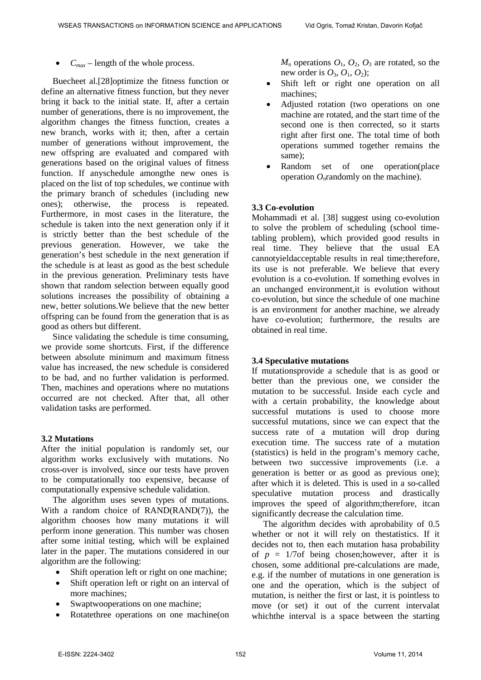$C_{max}$  – length of the whole process.

Buecheet al[.\[28\]o](#page-9-13)ptimize the fitness function or define an alternative fitness function, but they never bring it back to the initial state. If, after a certain number of generations, there is no improvement, the algorithm changes the fitness function, creates a new branch, works with it; then, after a certain number of generations without improvement, the new offspring are evaluated and compared with generations based on the original values of fitness function. If anyschedule amongthe new ones is placed on the list of top schedules, we continue with the primary branch of schedules (including new ones); otherwise, the process is repeated. Furthermore, in most cases in the literature, the schedule is taken into the next generation only if it is strictly better than the best schedule of the previous generation. However, we take the generation's best schedule in the next generation if the schedule is at least as good as the best schedule in the previous generation. Preliminary tests have shown that random selection between equally good solutions increases the possibility of obtaining a new, better solutions.We believe that the new better offspring can be found from the generation that is as good as others but different.

Since validating the schedule is time consuming, we provide some shortcuts. First, if the difference between absolute minimum and maximum fitness value has increased, the new schedule is considered to be bad, and no further validation is performed. Then, machines and operations where no mutations occurred are not checked. After that, all other validation tasks are performed.

#### **3.2 Mutations**

After the initial population is randomly set, our algorithm works exclusively with mutations. No cross-over is involved, since our tests have proven to be computationally too expensive, because of computationally expensive schedule validation.

The algorithm uses seven types of mutations. With a random choice of RAND(RAND(7)), the algorithm chooses how many mutations it will perform inone generation. This number was chosen after some initial testing, which will be explained later in the paper. The mutations considered in our algorithm are the following:

- Shift operation left or right on one machine;
- Shift operation left or right on an interval of more machines;
- Swaptwooperations on one machine;
- Rotatethree operations on one machine(on

 $M_n$  operations  $O_1$ ,  $O_2$ ,  $O_3$  are rotated, so the new order is  $O_3$ ,  $O_1$ ,  $O_2$ );

- Shift left or right one operation on all machines;
- Adjusted rotation (two operations on one machine are rotated, and the start time of the second one is then corrected, so it starts right after first one. The total time of both operations summed together remains the same);
- Random set of one operation(place operation  $O<sub>n</sub>$  randomly on the machine).

### **3.3 Co-evolution**

Mohammadi et al. [\[38\]](#page-10-9) suggest using co-evolution to solve the problem of scheduling (school timetabling problem), which provided good results in real time. They believe that the usual EA cannotyieldacceptable results in real time;therefore, its use is not preferable. We believe that every evolution is a co-evolution. If something evolves in an unchanged environment,it is evolution without co-evolution, but since the schedule of one machine is an environment for another machine, we already have co-evolution; furthermore, the results are obtained in real time.

### **3.4 Speculative mutations**

If mutationsprovide a schedule that is as good or better than the previous one, we consider the mutation to be successful. Inside each cycle and with a certain probability, the knowledge about successful mutations is used to choose more successful mutations, since we can expect that the success rate of a mutation will drop during execution time. The success rate of a mutation (statistics) is held in the program's memory cache, between two successive improvements (i.e. a generation is better or as good as previous one); after which it is deleted. This is used in a so-called speculative mutation process and drastically improves the speed of algorithm;therefore, itcan significantly decrease the calculation time.

The algorithm decides with aprobability of 0.5 whether or not it will rely on thestatistics. If it decides not to, then each mutation hasa probability of  $p = 1/7$ of being chosen; however, after it is chosen, some additional pre-calculations are made, e.g. if the number of mutations in one generation is one and the operation, which is the subject of mutation, is neither the first or last, it is pointless to move (or set) it out of the current intervalat whichthe interval is a space between the starting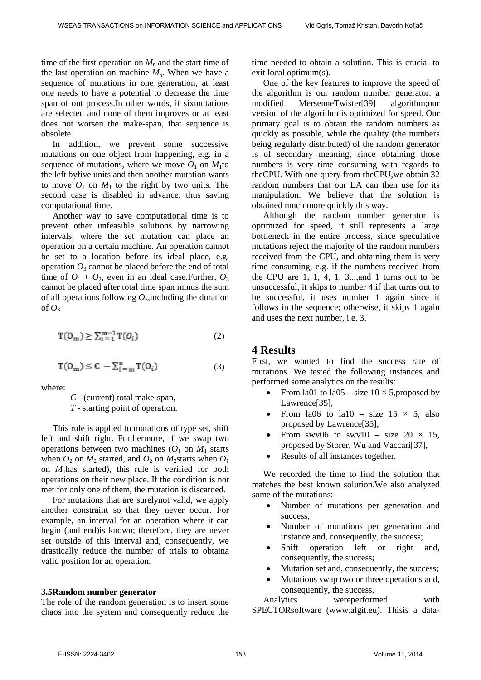time of the first operation on  $M_n$  and the start time of the last operation on machine  $M_n$ . When we have a sequence of mutations in one generation, at least one needs to have a potential to decrease the time span of out process.In other words, if sixmutations are selected and none of them improves or at least does not worsen the make-span, that sequence is obsolete.

In addition, we prevent some successive mutations on one object from happening, e.g. in a sequence of mutations, where we move  $O_1$  on  $M_1$ to the left byfive units and then another mutation wants to move  $O_1$  on  $M_1$  to the right by two units. The second case is disabled in advance, thus saving computational time.

Another way to save computational time is to prevent other unfeasible solutions by narrowing intervals, where the set mutation can place an operation on a certain machine. An operation cannot be set to a location before its ideal place, e.g. operation  $O_3$  cannot be placed before the end of total time of  $O_1 + O_2$ , even in an ideal case. Further,  $O_3$ cannot be placed after total time span minus the sum of all operations following  $O_3$ , including the duration of  $O_3$ .

$$
\mathbf{T}(\mathbf{O}_{\mathbf{m}}) \ge \sum_{i=1}^{\mathbf{m}-1} \mathbf{T}(O_i) \tag{2}
$$

$$
T(O_m) \le C - \sum_{i=m}^{n} T(O_i)
$$
 (3)

where:

*C* - (current) total make-span, *T* - starting point of operation.

This rule is applied to mutations of type set, shift left and shift right. Furthermore, if we swap two operations between two machines  $(O_1 \text{ on } M_1 \text{ starts})$ when  $O_2$  on  $M_2$  started, and  $O_2$  on  $M_2$ starts when  $O_1$ on *M*1has started), this rule is verified for both operations on their new place. If the condition is not met for only one of them, the mutation is discarded.

For mutations that are surelynot valid, we apply another constraint so that they never occur. For example, an interval for an operation where it can begin (and end)is known; therefore, they are never set outside of this interval and, consequently, we drastically reduce the number of trials to obtaina valid position for an operation.

#### **3.5Random number generator**

The role of the random generation is to insert some chaos into the system and consequently reduce the time needed to obtain a solution. This is crucial to exit local optimum(s).

One of the key features to improve the speed of the algorithm is our random number generator: a modified MersenneTwiste[r\[39\]](#page-10-10) algorithm;our version of the algorithm is optimized for speed. Our primary goal is to obtain the random numbers as quickly as possible, while the quality (the numbers being regularly distributed) of the random generator is of secondary meaning, since obtaining those numbers is very time consuming with regards to theCPU. With one query from theCPU,we obtain 32 random numbers that our EA can then use for its manipulation. We believe that the solution is obtained much more quickly this way.

Although the random number generator is optimized for speed, it still represents a large bottleneck in the entire process, since speculative mutations reject the majority of the random numbers received from the CPU, and obtaining them is very time consuming, e.g. if the numbers received from the CPU are  $1, 1, 4, 1, 3 \ldots$ , and 1 turns out to be unsuccessful, it skips to number 4;if that turns out to be successful, it uses number 1 again since it follows in the sequence; otherwise, it skips 1 again and uses the next number, i.e. 3.

### **4 Results**

First, we wanted to find the success rate of mutations. We tested the following instances and performed some analytics on the results:

- From la01 to la05 size  $10 \times 5$ , proposed by Lawrenc[e\[35\],](#page-10-11)
- From la06 to la10 size  $15 \times 5$ , also proposed by Lawrenc[e\[35\],](#page-10-11)
- From swv06 to swv10 size  $20 \times 15$ , proposed by Storer, Wu and Vaccar[i\[37\],](#page-10-12)
- Results of all instances together.

We recorded the time to find the solution that matches the best known solution.We also analyzed some of the mutations:

- Number of mutations per generation and success;
- Number of mutations per generation and instance and, consequently, the success:
- Shift operation left or right and, consequently, the success;
- Mutation set and, consequently, the success;
- Mutations swap two or three operations and, consequently, the success.

Analytics wereperformed with SPECTORsoftware (www.algit.eu). Thisis a data-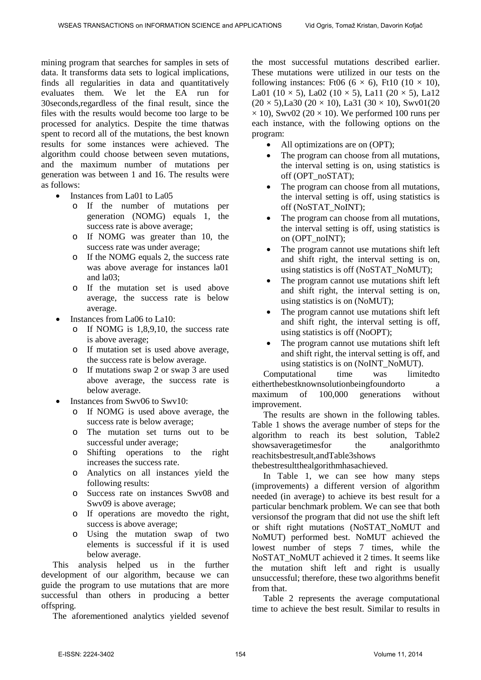mining program that searches for samples in sets of data. It transforms data sets to logical implications, finds all regularities in data and quantitatively evaluates them. We let the EA run for 30seconds,regardless of the final result, since the files with the results would become too large to be processed for analytics. Despite the time thatwas spent to record all of the mutations, the best known results for some instances were achieved. The algorithm could choose between seven mutations, and the maximum number of mutations per generation was between 1 and 16. The results were as follows:

- Instances from La01 to La05
	- o If the number of mutations per generation (NOMG) equals 1, the success rate is above average;
	- o If NOMG was greater than 10, the success rate was under average;
	- o If the NOMG equals 2, the success rate was above average for instances la01 and la03;
	- o If the mutation set is used above average, the success rate is below average.
- Instances from La06 to La10:
	- o If NOMG is 1,8,9,10, the success rate is above average;
	- o If mutation set is used above average, the success rate is below average.
	- o If mutations swap 2 or swap 3 are used above average, the success rate is below average.
- Instances from Swv06 to Swv10:
	- o If NOMG is used above average, the success rate is below average;
	- o The mutation set turns out to be successful under average;
	- o Shifting operations to the right increases the success rate.
	- o Analytics on all instances yield the following results:
	- o Success rate on instances Swv08 and Swv09 is above average;
	- o If operations are movedto the right, success is above average;
	- o Using the mutation swap of two elements is successful if it is used below average.

This analysis helped us in the further development of our algorithm, because we can guide the program to use mutations that are more successful than others in producing a better offspring.

The aforementioned analytics yielded sevenof

the most successful mutations described earlier. These mutations were utilized in our tests on the following instances: Ft06 (6  $\times$  6), Ft10 (10  $\times$  10), La01 (10  $\times$  5), La02 (10  $\times$  5), La11 (20  $\times$  5), La12  $(20 \times 5)$ ,La30  $(20 \times 10)$ , La31  $(30 \times 10)$ , Swv01 $(20 \times 10)$  $\times$  10), Swv02 (20  $\times$  10). We performed 100 runs per each instance, with the following options on the program:

- All optimizations are on (OPT);
- The program can choose from all mutations, the interval setting is on, using statistics is off (OPT\_noSTAT);
- The program can choose from all mutations, the interval setting is off, using statistics is off (NoSTAT\_NoINT);
- The program can choose from all mutations, the interval setting is off, using statistics is on (OPT\_noINT);
- The program cannot use mutations shift left and shift right, the interval setting is on, using statistics is off (NoSTAT\_NoMUT);
- The program cannot use mutations shift left and shift right, the interval setting is on, using statistics is on (NoMUT);
- The program cannot use mutations shift left and shift right, the interval setting is off, using statistics is off (NoOPT);
- The program cannot use mutations shift left and shift right, the interval setting is off, and using statistics is on (NoINT\_NoMUT).

Computational time was limitedto eitherthebestknownsolutionbeingfoundorto a maximum of 100,000 generations without improvement.

The results are shown in the following tables. Table 1 shows the average number of steps for the algorithm to reach its best solution, Table2 showsaveragetimesfor the analgorithmto reachitsbestresult,andTable3shows

thebestresultthealgorithmhasachieved.

In Table 1, we can see how many steps (improvements) a different version of algorithm needed (in average) to achieve its best result for a particular benchmark problem. We can see that both versionsof the program that did not use the shift left or shift right mutations (NoSTAT\_NoMUT and NoMUT) performed best. NoMUT achieved the lowest number of steps 7 times, while the NoSTAT\_NoMUT achieved it 2 times. It seems like the mutation shift left and right is usually unsuccessful; therefore, these two algorithms benefit from that.

Table 2 represents the average computational time to achieve the best result. Similar to results in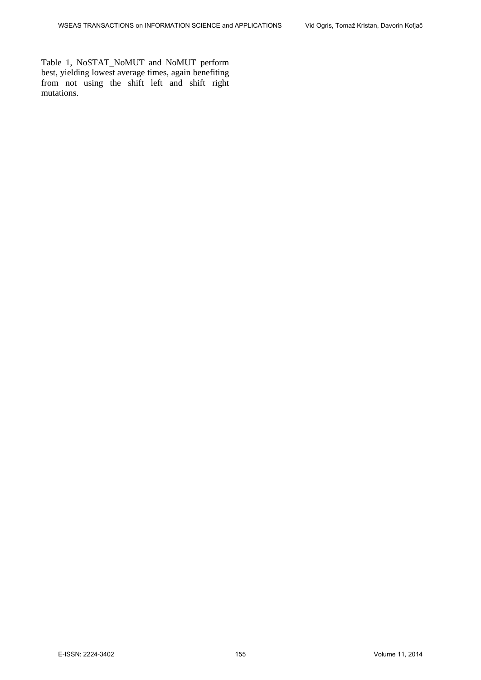Table 1, NoSTAT\_NoMUT and NoMUT perform best, yielding lowest average times, again benefiting from not using the shift left and shift right mutations.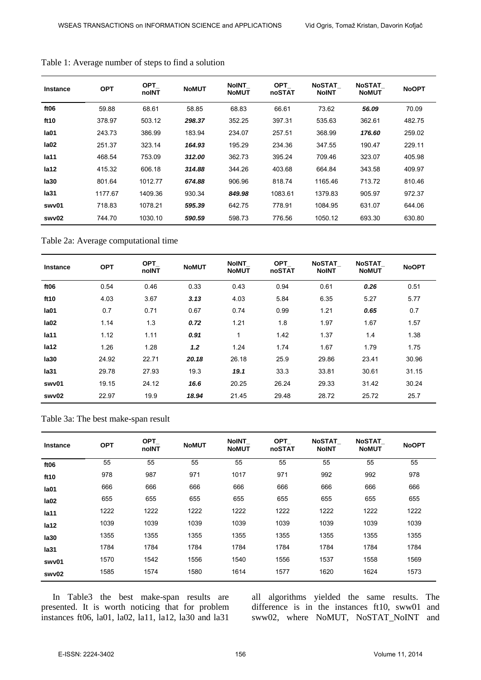| <b>Instance</b> | <b>OPT</b> | <b>OPT</b><br>noINT | <b>NoMUT</b> | <b>NoINT</b><br><b>NoMUT</b> | <b>OPT</b><br>noSTAT | NoSTAT<br><b>NoINT</b> | NoSTAT<br><b>NoMUT</b> | <b>NoOPT</b> |
|-----------------|------------|---------------------|--------------|------------------------------|----------------------|------------------------|------------------------|--------------|
| ft06            | 59.88      | 68.61               | 58.85        | 68.83                        | 66.61                | 73.62                  | 56.09                  | 70.09        |
| ft10            | 378.97     | 503.12              | 298.37       | 352.25                       | 397.31               | 535.63                 | 362.61                 | 482.75       |
| la01            | 243.73     | 386.99              | 183.94       | 234.07                       | 257.51               | 368.99                 | 176.60                 | 259.02       |
| Ia02            | 251.37     | 323.14              | 164.93       | 195.29                       | 234.36               | 347.55                 | 190.47                 | 229.11       |
| Ia11            | 468.54     | 753.09              | 312.00       | 362.73                       | 395.24               | 709.46                 | 323.07                 | 405.98       |
| Ia12            | 415.32     | 606.18              | 314.88       | 344.26                       | 403.68               | 664.84                 | 343.58                 | 409.97       |
| Ia30            | 801.64     | 1012.77             | 674.88       | 906.96                       | 818.74               | 1165.46                | 713.72                 | 810.46       |
| $l$ a31         | 1177.67    | 1409.36             | 930.34       | 849.98                       | 1083.61              | 1379.83                | 905.97                 | 972.37       |
| swy01           | 718.83     | 1078.21             | 595.39       | 642.75                       | 778.91               | 1084.95                | 631.07                 | 644.06       |
| swy02           | 744.70     | 1030.10             | 590.59       | 598.73                       | 776.56               | 1050.12                | 693.30                 | 630.80       |

Table 1: Average number of steps to find a solution

Table 2a: Average computational time

| <b>Instance</b>  | <b>OPT</b> | <b>OPT</b><br>noINT | <b>NoMUT</b> | <b>NoINT</b><br><b>NoMUT</b> | <b>OPT</b><br>noSTAT | NoSTAT<br><b>NoINT</b> | NoSTAT<br><b>NoMUT</b> | <b>NoOPT</b> |
|------------------|------------|---------------------|--------------|------------------------------|----------------------|------------------------|------------------------|--------------|
| ft06             | 0.54       | 0.46                | 0.33         | 0.43                         | 0.94                 | 0.61                   | 0.26                   | 0.51         |
| ft10             | 4.03       | 3.67                | 3.13         | 4.03                         | 5.84                 | 6.35                   | 5.27                   | 5.77         |
| la01             | 0.7        | 0.71                | 0.67         | 0.74                         | 0.99                 | 1.21                   | 0.65                   | 0.7          |
| la <sub>02</sub> | 1.14       | 1.3                 | 0.72         | 1.21                         | 1.8                  | 1.97                   | 1.67                   | 1.57         |
| Ia11             | 1.12       | 1.11                | 0.91         | 1                            | 1.42                 | 1.37                   | 1.4                    | 1.38         |
| Ia12             | 1.26       | 1.28                | 1.2          | 1.24                         | 1.74                 | 1.67                   | 1.79                   | 1.75         |
| Ia30             | 24.92      | 22.71               | 20.18        | 26.18                        | 25.9                 | 29.86                  | 23.41                  | 30.96        |
| Ia31             | 29.78      | 27.93               | 19.3         | 19.1                         | 33.3                 | 33.81                  | 30.61                  | 31.15        |
| swv01            | 19.15      | 24.12               | 16.6         | 20.25                        | 26.24                | 29.33                  | 31.42                  | 30.24        |
| swv02            | 22.97      | 19.9                | 18.94        | 21.45                        | 29.48                | 28.72                  | 25.72                  | 25.7         |

#### Table 3a: The best make-span result

| <b>Instance</b> | <b>OPT</b> | <b>OPT</b><br>noINT | <b>NoMUT</b> | NoINT<br><b>NoMUT</b> | <b>OPT</b><br>noSTAT | <b>NoSTAT</b><br><b>NoINT</b> | NoSTAT<br><b>NoMUT</b> | <b>NoOPT</b> |
|-----------------|------------|---------------------|--------------|-----------------------|----------------------|-------------------------------|------------------------|--------------|
| ft06            | 55         | 55                  | 55           | 55                    | 55                   | 55                            | 55                     | 55           |
| ft10            | 978        | 987                 | 971          | 1017                  | 971                  | 992                           | 992                    | 978          |
| Ia01            | 666        | 666                 | 666          | 666                   | 666                  | 666                           | 666                    | 666          |
| Ia02            | 655        | 655                 | 655          | 655                   | 655                  | 655                           | 655                    | 655          |
| Ia11            | 1222       | 1222                | 1222         | 1222                  | 1222                 | 1222                          | 1222                   | 1222         |
| Ia12            | 1039       | 1039                | 1039         | 1039                  | 1039                 | 1039                          | 1039                   | 1039         |
| Ia30            | 1355       | 1355                | 1355         | 1355                  | 1355                 | 1355                          | 1355                   | 1355         |
| Ia31            | 1784       | 1784                | 1784         | 1784                  | 1784                 | 1784                          | 1784                   | 1784         |
| swv01           | 1570       | 1542                | 1556         | 1540                  | 1556                 | 1537                          | 1558                   | 1569         |
| swy02           | 1585       | 1574                | 1580         | 1614                  | 1577                 | 1620                          | 1624                   | 1573         |

In Table3 the best make-span results are presented. It is worth noticing that for problem instances ft06, la01, la02, la11, la12, la30 and la31 all algorithms yielded the same results. The difference is in the instances ft10, sww01 and sww02, where NoMUT, NoSTAT\_NoINT and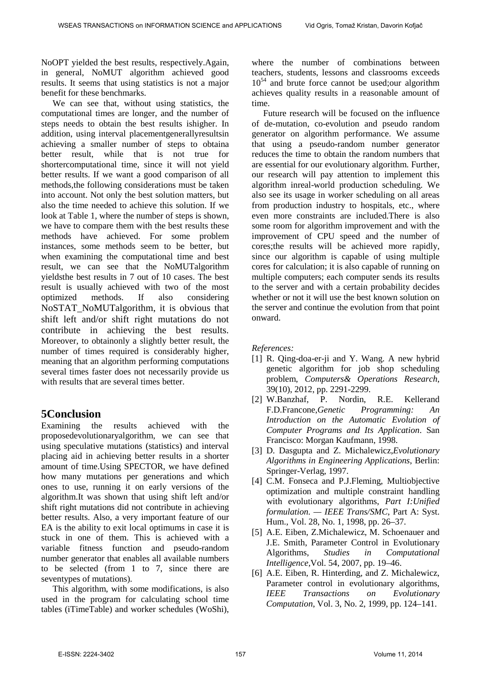NoOPT yielded the best results, respectively.Again, in general, NoMUT algorithm achieved good results. It seems that using statistics is not a major benefit for these benchmarks.

We can see that, without using statistics, the computational times are longer, and the number of steps needs to obtain the best results ishigher. In addition, using interval placementgenerallyresultsin achieving a smaller number of steps to obtaina better result, while that is not true for shortercomputational time, since it will not yield better results. If we want a good comparison of all methods,the following considerations must be taken into account. Not only the best solution matters, but also the time needed to achieve this solution. If we look at Table 1, where the number of steps is shown, we have to compare them with the best results these methods have achieved. For some problem instances, some methods seem to be better, but when examining the computational time and best result, we can see that the NoMUTalgorithm yieldsthe best results in 7 out of 10 cases. The best result is usually achieved with two of the most optimized methods. If also considering NoSTAT\_NoMUTalgorithm, it is obvious that shift left and/or shift right mutations do not contribute in achieving the best results. Moreover, to obtainonly a slightly better result, the number of times required is considerably higher, meaning that an algorithm performing computations several times faster does not necessarily provide us with results that are several times better.

## **5Conclusion**

Examining the results achieved with the proposedevolutionaryalgorithm, we can see that using speculative mutations (statistics) and interval placing aid in achieving better results in a shorter amount of time.Using SPECTOR, we have defined how many mutations per generations and which ones to use, running it on early versions of the algorithm.It was shown that using shift left and/or shift right mutations did not contribute in achieving better results. Also, a very important feature of our EA is the ability to exit local optimums in case it is stuck in one of them. This is achieved with a variable fitness function and pseudo-random number generator that enables all available numbers to be selected (from 1 to 7, since there are seventypes of mutations).

This algorithm, with some modifications, is also used in the program for calculating school time tables (iTimeTable) and worker schedules (WoShi), where the number of combinations between teachers, students, lessons and classrooms exceeds  $10^{54}$  and brute force cannot be used;our algorithm achieves quality results in a reasonable amount of time.

Future research will be focused on the influence of de-mutation, co-evolution and pseudo random generator on algorithm performance. We assume that using a pseudo-random number generator reduces the time to obtain the random numbers that are essential for our evolutionary algorithm. Further, our research will pay attention to implement this algorithm inreal-world production scheduling. We also see its usage in worker scheduling on all areas from production industry to hospitals, etc., where even more constraints are included.There is also some room for algorithm improvement and with the improvement of CPU speed and the number of cores;the results will be achieved more rapidly, since our algorithm is capable of using multiple cores for calculation; it is also capable of running on multiple computers; each computer sends its results to the server and with a certain probability decides whether or not it will use the best known solution on the server and continue the evolution from that point onward.

### *References:*

- <span id="page-8-0"></span>[1] R. Qing-doa-er-ji and Y. Wang. A new hybrid genetic algorithm for job shop scheduling problem, *Computers& Operations Research*, 39(10), 2012, pp. 2291-2299.
- <span id="page-8-1"></span>[2] W.Banzhaf, P. Nordin, R.E. Kellerand F.D.Francone,*Genetic Programming: An Introduction on the Automatic Evolution of Computer Programs and Its Application*. San Francisco: Morgan Kaufmann, 1998.
- <span id="page-8-2"></span>[3] D. Dasgupta and Z. Michalewicz,*Evolutionary Algorithms in Engineering Applications*, Berlin: Springer-Verlag, 1997.
- <span id="page-8-3"></span>[4] C.M. Fonseca and P.J.Fleming, Multiobjective optimization and multiple constraint handling with evolutionary algorithms, *Part I:Unified formulation. — IEEE Trans/SMC*, Part A: Syst. Hum., Vol. 28, No. 1, 1998, pp. 26–37.
- <span id="page-8-5"></span>[5] A.E. Eiben, Z.Michalewicz, M. Schoenauer and J.E. Smith, Parameter Control in Evolutionary Algorithms, *Studies in Computational Intelligence,*Vol. 54, 2007, pp. 19–46.
- <span id="page-8-4"></span>[6] A.E. Eiben, R. Hinterding, and Z. Michalewicz, Parameter control in evolutionary algorithms, *IEEE Transactions on Evolutionary Computation*, Vol. 3, No. 2, 1999, pp. 124–141.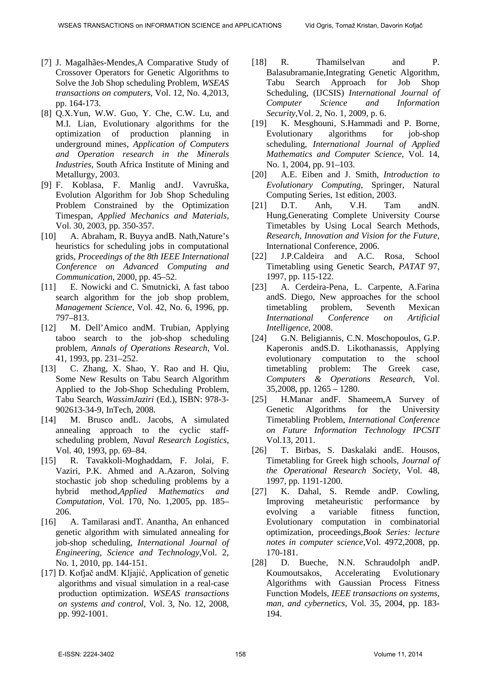- <span id="page-9-0"></span>[7] J. Magalhães-Mendes,A Comparative Study of Crossover Operators for Genetic Algorithms to Solve the Job Shop scheduling Problem, *WSEAS transactions on computers*, Vol. 12, No. 4,2013, pp. 164-173.
- <span id="page-9-1"></span>[8] Q.X.Yun, W.W. Guo, Y. Che, C.W. Lu, and M.I. Lian, Evolutionary algorithms for the optimization of production planning in underground mines, *Application of Computers and Operation research in the Minerals Industries*, South Africa Institute of Mining and Metallurgy, 2003.
- <span id="page-9-2"></span>[9] F. Koblasa, F. Manlig andJ. Vavruška, Evolution Algorithm for Job Shop Scheduling Problem Constrained by the Optimization Timespan, *Applied Mechanics and Materials,* Vol. 30, 2003, pp. 350-357.
- <span id="page-9-3"></span>[10] A. Abraham, R. Buyya andB. Nath,Nature's heuristics for scheduling jobs in computational grids*, Proceedings of the 8th IEEE International Conference on Advanced Computing and Communication*, 2000, pp. 45–52.
- <span id="page-9-4"></span>[11] E. Nowicki and C. Smutnicki, A fast taboo search algorithm for the job shop problem, *Management Science*, Vol. 42, No. 6, 1996, pp. 797–813.
- <span id="page-9-5"></span>[12] M. Dell'Amico andM. Trubian, Applying taboo search to the job-shop scheduling problem, *Annals of Operations Research*, Vol. 41, 1993, pp. 231–252.
- [13] C. Zhang, X. Shao, Y. Rao and H. Qiu, Some New Results on Tabu Search Algorithm Applied to the Job-Shop Scheduling Problem, Tabu Search, *WassimJaziri* (Ed.), ISBN: 978-3- 902613-34-9, InTech, 2008.
- <span id="page-9-6"></span>[14] M. Brusco and L. Jacobs, A simulated annealing approach to the cyclic staffscheduling problem, *Naval Research Logistics*, Vol. 40, 1993, pp. 69–84.
- <span id="page-9-7"></span>[15] R. Tavakkoli-Moghaddam, F. Jolai, F. Vaziri, P.K. Ahmed and A.Azaron, Solving stochastic job shop scheduling problems by a hybrid method,*Applied Mathematics and Computation,* Vol. 170, No. 1,2005, pp. 185– 206.
- <span id="page-9-8"></span>[16] A. Tamilarasi andT. Anantha, An enhanced genetic algorithm with simulated annealing for job-shop scheduling, *International Journal of Engineering, Science and Technology*,Vol. 2, No. 1, 2010, pp. 144-151.
- <span id="page-9-9"></span>[17] D. Kofjač andM. Kljajić, Application of genetic algorithms and visual simulation in a real-case production optimization. *WSEAS transactions on systems and control*, Vol. 3, No. 12, 2008, pp. 992-1001.
- [18] R. Thamilselvan and P. Balasubramanie,Integrating Genetic Algorithm, Tabu Search Approach for Job Shop Scheduling, (IJCSIS) *International Journal of Computer Science and Information Security*,Vol. 2, No. 1, 2009, p. 6.
- <span id="page-9-10"></span>[19] K. Mesghouni, S.Hammadi and P. Borne, Evolutionary algorithms for job-shop scheduling, *International Journal of Applied Mathematics and Computer Science*, Vol. 14, No. 1, 2004, pp. 91–103.
- [20] A.E. Eiben and J. Smith, *Introduction to Evolutionary Computing*, Springer, Natural Computing Series, 1st edition, 2003.
- [21] D.T. Anh, V.H. Tam andN. Hung,Generating Complete University Course Timetables by Using Local Search Methods, *Research, Innovation and Vision for the Future*, International Conference, 2006.
- [22] J.P.Caldeira and A.C. Rosa, School Timetabling using Genetic Search, *PATAT* 97, 1997, pp. 115-122.
- [23] A. Cerdeira-Pena, L. Carpente, A.Farina andS. Diego, New approaches for the school timetabling problem, Seventh Mexican *International Conference on Artificial Intelligence*, 2008.
- [24] G.N. Beligiannis, C.N. Moschopoulos, G.P. Kaperonis andS.D. Likothanassis, Applying evolutionary computation to the school timetabling problem: The Greek case, *Computers & Operations Research*, Vol. 35,2008, pp. 1265 – 1280.
- [25] H.Manar andF. Shameem,A Survey of Genetic Algorithms for the University Timetabling Problem, *International Conference on Future Information Technology IPCSIT* Vol.13, 2011.
- <span id="page-9-11"></span>[26] T. Birbas, S. Daskalaki andE. Housos, Timetabling for Greek high schools, *Journal of the Operational Research Society*, Vol. 48, 1997, pp. 1191-1200.
- <span id="page-9-12"></span>[27] K. Dahal, S. Remde andP. Cowling, Improving metaheuristic performance by evolving a variable fitness function, Evolutionary computation in combinatorial optimization, proceedings,*Book Series: lecture notes in computer science*,Vol. 4972,2008, pp. 170-181.
- <span id="page-9-13"></span>[28] D. Bueche, N.N. Schraudolph andP. Koumoutsakos, Accelerating Evolutionary Algorithms with Gaussian Process Fitness Function Models, *IEEE transactions on systems, man, and cybernetics*, Vol. 35, 2004, pp. 183- 194.